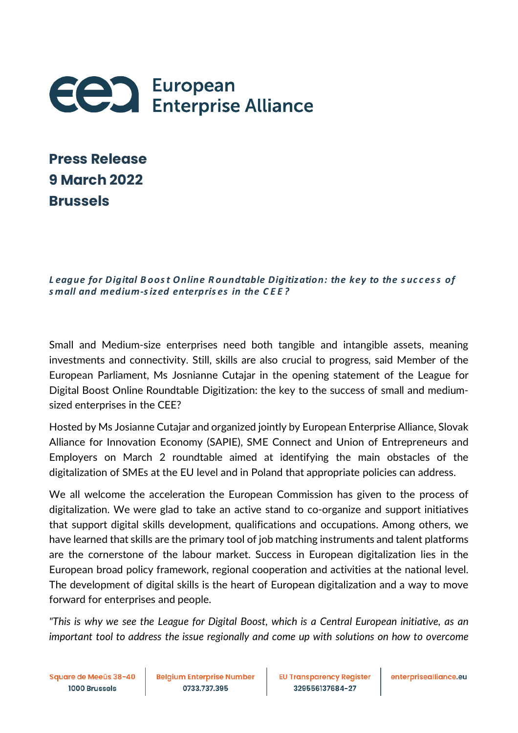

| <b>Press Release</b> |
|----------------------|
| <b>9 March 2022</b>  |
| <b>Brussels</b>      |

*L eague for Digital Boost Online R oundtable Digitization: the key to the success of s mall and medium-s ized enterpris es in the CEE?*

Small and Medium-size enterprises need both tangible and intangible assets, meaning investments and connectivity. Still, skills are also crucial to progress, said Member of the European Parliament, Ms Josnianne Cutajar in the opening statement of the League for Digital Boost Online Roundtable Digitization: the key to the success of small and mediumsized enterprises in the CEE?

Hosted by Ms Josianne Cutajar and organized jointly by European Enterprise Alliance, Slovak Alliance for Innovation Economy (SAPIE), SME Connect and Union of Entrepreneurs and Employers on March 2 roundtable aimed at identifying the main obstacles of the digitalization of SMEs at the EU level and in Poland that appropriate policies can address.

We all welcome the acceleration the European Commission has given to the process of digitalization. We were glad to take an active stand to co-organize and support initiatives that support digital skills development, qualifications and occupations. Among others, we have learned that skills are the primary tool of job matching instruments and talent platforms are the cornerstone of the labour market. Success in European digitalization lies in the European broad policy framework, regional cooperation and activities at the national level. The development of digital skills is the heart of European digitalization and a way to move forward for enterprises and people.

*"This is why we see the League for Digital Boost, which is a Central European initiative, as an important tool to address the issue regionally and come up with solutions on how to overcome*

Square de Meeûs 38-40 1000 Brussels

**Belgium Enterprise Number** 0733.737.395

**EU Transparency Register** 329556137684-27

enterprisealliance.eu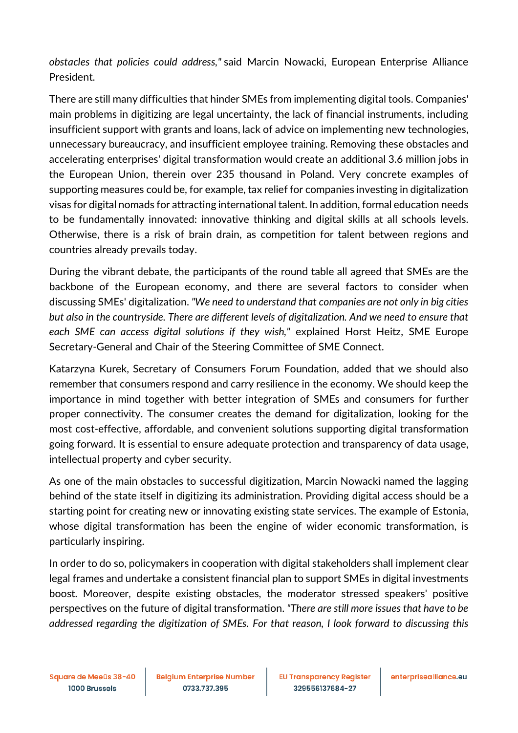*obstacles that policies could address,"* said Marcin Nowacki, European Enterprise Alliance President.

There are still many difficulties that hinder SMEs from implementing digital tools. Companies' main problems in digitizing are legal uncertainty, the lack of financial instruments, including insufficient support with grants and loans, lack of advice on implementing new technologies, unnecessary bureaucracy, and insufficient employee training. Removing these obstacles and accelerating enterprises' digital transformation would create an additional 3.6 million jobs in the European Union, therein over 235 thousand in Poland. Very concrete examples of supporting measures could be, for example, tax relief for companies investing in digitalization visas for digital nomads for attracting international talent. In addition, formal education needs to be fundamentally innovated: innovative thinking and digital skills at all schools levels. Otherwise, there is a risk of brain drain, as competition for talent between regions and countries already prevails today.

During the vibrant debate, the participants of the round table all agreed that SMEs are the backbone of the European economy, and there are several factors to consider when discussing SMEs' digitalization. *"We need to understand that companies are not only in big cities but also in the countryside. There are different levels of digitalization. And we need to ensure that each SME can access digital solutions if they wish,"* explained Horst Heitz, SME Europe Secretary-General and Chair of the Steering Committee of SME Connect.

Katarzyna Kurek, Secretary of Consumers Forum Foundation, added that we should also remember that consumers respond and carry resilience in the economy. We should keep the importance in mind together with better integration of SMEs and consumers for further proper connectivity. The consumer creates the demand for digitalization, looking for the most cost-effective, affordable, and convenient solutions supporting digital transformation going forward. It is essential to ensure adequate protection and transparency of data usage, intellectual property and cyber security.

As one of the main obstacles to successful digitization, Marcin Nowacki named the lagging behind of the state itself in digitizing its administration. Providing digital access should be a starting point for creating new or innovating existing state services. The example of Estonia, whose digital transformation has been the engine of wider economic transformation, is particularly inspiring.

In order to do so, policymakers in cooperation with digital stakeholders shall implement clear legal frames and undertake a consistent financial plan to support SMEs in digital investments boost. Moreover, despite existing obstacles, the moderator stressed speakers' positive perspectives on the future of digital transformation. *"There are still more issues that have to be addressed regarding the digitization of SMEs. For that reason, I look forward to discussing this*

Square de Meeûs 38-40 1000 Brussels

**Belgium Enterprise Number** 0733.737.395

**EU Transparency Register** 329556137684-27

enterprisealliance.eu